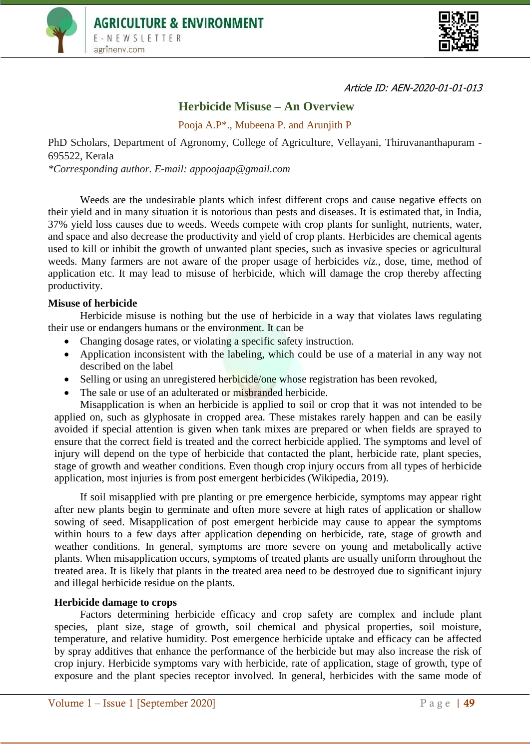



Article ID: AEN-2020-01-01-013

# **Herbicide Misuse – An Overview**

Pooja A.P\*., Mubeena P. and Arunjith P

PhD Scholars, Department of Agronomy, College of Agriculture, Vellayani, Thiruvananthapuram - 695522, Kerala

*\*Corresponding author. E-mail: appoojaap@gmail.com*

Weeds are the undesirable plants which infest different crops and cause negative effects on their yield and in many situation it is notorious than pests and diseases. It is estimated that, in India, 37% yield loss causes due to weeds. Weeds compete with crop plants for sunlight, nutrients, water, and space and also decrease the productivity and yield of crop plants. Herbicides are chemical agents used to kill or inhibit the growth of unwanted plant species, such as invasive species or agricultural weeds. Many farmers are not aware of the proper usage of herbicides *viz.,* dose, time, method of application etc. It may lead to misuse of herbicide, which will damage the crop thereby affecting productivity.

## **Misuse of herbicide**

Herbicide misuse is nothing but the use of herbicide in a way that violates laws regulating their use or endangers humans or the environment. It can be

- Changing dosage rates, or violating a specific safety instruction.
- Application inconsistent with the labeling, which could be use of a material in any way not described on the label
- Selling or using an unregistered herbicide/one whose registration has been revoked,
- The sale or use of an adulterated or misbranded herbicide.

Misapplication is when an herbicide is applied to soil or crop that it was not intended to be applied on, such as glyphosate in cropped area. These mistakes rarely happen and can be easily avoided if special attention is given when tank mixes are prepared or when fields are sprayed to ensure that the correct field is treated and the correct herbicide applied. The symptoms and level of injury will depend on the type of herbicide that contacted the plant, herbicide rate, plant species, stage of growth and weather conditions. Even though crop injury occurs from all types of herbicide application, most injuries is from post emergent herbicides (Wikipedia, 2019).

If soil misapplied with pre planting or pre emergence herbicide, symptoms may appear right after new plants begin to germinate and often more severe at high rates of application or shallow sowing of seed. Misapplication of post emergent herbicide may cause to appear the symptoms within hours to a few days after application depending on herbicide, rate, stage of growth and weather conditions. In general, symptoms are more severe on young and metabolically active plants. When misapplication occurs, symptoms of treated plants are usually uniform throughout the treated area. It is likely that plants in the treated area need to be destroyed due to significant injury and illegal herbicide residue on the plants.

## **Herbicide damage to crops**

Factors determining herbicide efficacy and crop safety are complex and include plant species, plant size, stage of growth, soil chemical and physical properties, soil moisture, temperature, and relative humidity. Post emergence herbicide uptake and efficacy can be affected by spray additives that enhance the performance of the herbicide but may also increase the risk of crop injury. Herbicide symptoms vary with herbicide, rate of application, stage of growth, type of exposure and the plant species receptor involved. In general, herbicides with the same mode of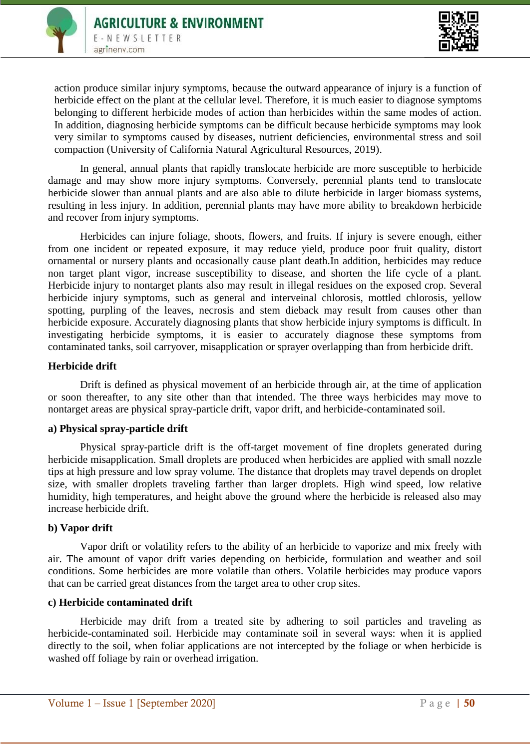



action produce similar injury symptoms, because the outward appearance of injury is a function of herbicide effect on the plant at the cellular level. Therefore, it is much easier to diagnose symptoms belonging to different herbicide modes of action than herbicides within the same modes of action. In addition, diagnosing herbicide symptoms can be difficult because herbicide symptoms may look very similar to symptoms caused by diseases, nutrient deficiencies, environmental stress and soil compaction (University of California Natural Agricultural Resources, 2019).

In general, annual plants that rapidly translocate herbicide are more susceptible to herbicide damage and may show more injury symptoms. Conversely, perennial plants tend to translocate herbicide slower than annual plants and are also able to dilute herbicide in larger biomass systems, resulting in less injury. In addition, perennial plants may have more ability to breakdown herbicide and recover from injury symptoms.

Herbicides can injure foliage, shoots, flowers, and fruits. If injury is severe enough, either from one incident or repeated exposure, it may reduce yield, produce poor fruit quality, distort ornamental or nursery plants and occasionally cause plant death.In addition, herbicides may reduce non target plant vigor, increase susceptibility to disease, and shorten the life cycle of a plant. Herbicide injury to nontarget plants also may result in illegal residues on the exposed crop. Several herbicide injury symptoms, such as general and interveinal chlorosis, mottled chlorosis, yellow spotting, purpling of the leaves, necrosis and stem dieback may result from causes other than herbicide exposure. Accurately diagnosing plants that show herbicide injury symptoms is difficult. In investigating herbicide symptoms, it is easier to accurately diagnose these symptoms from contaminated tanks, soil carryover, misapplication or sprayer overlapping than from herbicide drift.

# **Herbicide drift**

Drift is defined as physical movement of an herbicide through air, at the time of application or soon thereafter, to any site other than that intended. The three ways herbicides may move to nontarget areas are physical spray-particle drift, vapor drift, and herbicide-contaminated soil.

## **a) Physical spray-particle drift**

Physical spray-particle drift is the off-target movement of fine droplets generated during herbicide misapplication. Small droplets are produced when herbicides are applied with small nozzle tips at high pressure and low spray volume. The distance that droplets may travel depends on droplet size, with smaller droplets traveling farther than larger droplets. High wind speed, low relative humidity, high temperatures, and height above the ground where the herbicide is released also may increase herbicide drift.

## **b) Vapor drift**

Vapor drift or volatility refers to the ability of an herbicide to vaporize and mix freely with air. The amount of vapor drift varies depending on herbicide, formulation and weather and soil conditions. Some herbicides are more volatile than others. Volatile herbicides may produce vapors that can be carried great distances from the target area to other crop sites.

## **c) Herbicide contaminated drift**

Herbicide may drift from a treated site by adhering to soil particles and traveling as herbicide-contaminated soil. Herbicide may contaminate soil in several ways: when it is applied directly to the soil, when foliar applications are not intercepted by the foliage or when herbicide is washed off foliage by rain or overhead irrigation.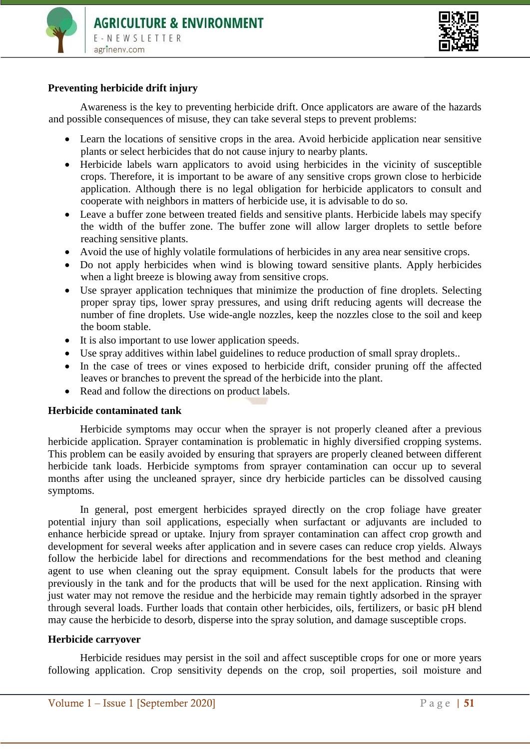



## **Preventing herbicide drift injury**

Awareness is the key to preventing herbicide drift. Once applicators are aware of the hazards and possible consequences of misuse, they can take several steps to prevent problems:

- Learn the locations of sensitive crops in the area. Avoid herbicide application near sensitive plants or select herbicides that do not cause injury to nearby plants.
- Herbicide labels warn applicators to avoid using herbicides in the vicinity of susceptible crops. Therefore, it is important to be aware of any sensitive crops grown close to herbicide application. Although there is no legal obligation for herbicide applicators to consult and cooperate with neighbors in matters of herbicide use, it is advisable to do so.
- Leave a buffer zone between treated fields and sensitive plants. Herbicide labels may specify the width of the buffer zone. The buffer zone will allow larger droplets to settle before reaching sensitive plants.
- Avoid the use of highly volatile formulations of herbicides in any area near sensitive crops.
- Do not apply herbicides when wind is blowing toward sensitive plants. Apply herbicides when a light breeze is blowing away from sensitive crops.
- Use sprayer application techniques that minimize the production of fine droplets. Selecting proper spray tips, lower spray pressures, and using drift reducing agents will decrease the number of fine droplets. Use wide-angle nozzles, keep the nozzles close to the soil and keep the boom stable.
- It is also important to use lower application speeds.
- Use spray additives within label guidelines to reduce production of small spray droplets..
- In the case of trees or vines exposed to herbicide drift, consider pruning off the affected leaves or branches to prevent the spread of the herbicide into the plant.
- Read and follow the directions on product labels.

## **Herbicide contaminated tank**

Herbicide symptoms may occur when the sprayer is not properly cleaned after a previous herbicide application. Sprayer contamination is problematic in highly diversified cropping systems. This problem can be easily avoided by ensuring that sprayers are properly cleaned between different herbicide tank loads. Herbicide symptoms from sprayer contamination can occur up to several months after using the uncleaned sprayer, since dry herbicide particles can be dissolved causing symptoms.

In general, post emergent herbicides sprayed directly on the crop foliage have greater potential injury than soil applications, especially when surfactant or adjuvants are included to enhance herbicide spread or uptake. Injury from sprayer contamination can affect crop growth and development for several weeks after application and in severe cases can reduce crop yields. Always follow the herbicide label for directions and recommendations for the best method and cleaning agent to use when cleaning out the spray equipment. Consult labels for the products that were previously in the tank and for the products that will be used for the next application. Rinsing with just water may not remove the residue and the herbicide may remain tightly adsorbed in the sprayer through several loads. Further loads that contain other herbicides, oils, fertilizers, or basic pH blend may cause the herbicide to desorb, disperse into the spray solution, and damage susceptible crops.

## **Herbicide carryover**

Herbicide residues may persist in the soil and affect susceptible crops for one or more years following application. Crop sensitivity depends on the crop, soil properties, soil moisture and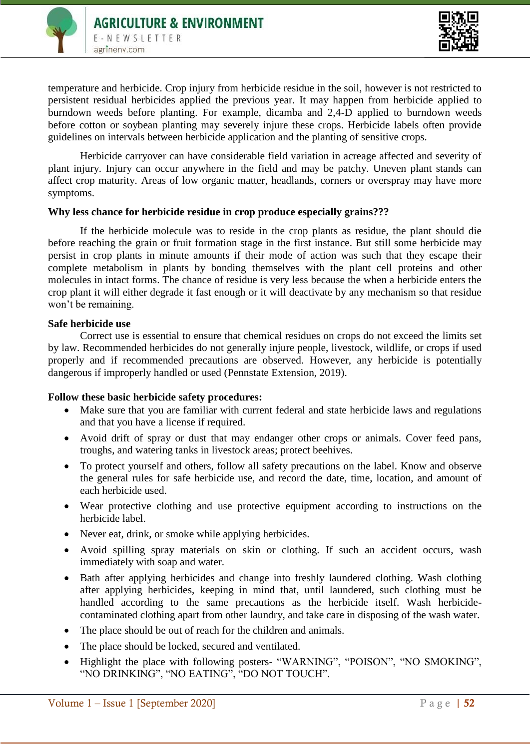



temperature and herbicide. Crop injury from herbicide residue in the soil, however is not restricted to persistent residual herbicides applied the previous year. It may happen from herbicide applied to burndown weeds before planting. For example, dicamba and 2,4-D applied to burndown weeds before cotton or soybean planting may severely injure these crops. Herbicide labels often provide guidelines on intervals between herbicide application and the planting of sensitive crops.

Herbicide carryover can have considerable field variation in acreage affected and severity of plant injury. Injury can occur anywhere in the field and may be patchy. Uneven plant stands can affect crop maturity. Areas of low organic matter, headlands, corners or overspray may have more symptoms.

# **Why less chance for herbicide residue in crop produce especially grains???**

If the herbicide molecule was to reside in the crop plants as residue, the plant should die before reaching the grain or fruit formation stage in the first instance. But still some herbicide may persist in crop plants in minute amounts if their mode of action was such that they escape their complete metabolism in plants by bonding themselves with the plant cell proteins and other molecules in intact forms. The chance of residue is very less because the when a herbicide enters the crop plant it will either degrade it fast enough or it will deactivate by any mechanism so that residue won't be remaining.

## **Safe herbicide use**

Correct use is essential to ensure that chemical residues on crops do not exceed the limits set by law. Recommended herbicides do not generally injure people, livestock, wildlife, or crops if used properly and if recommended precautions are observed. However, any herbicide is potentially dangerous if improperly handled or used (Pennstate Extension, 2019).

## **Follow these basic herbicide safety procedures:**

- Make sure that you are familiar with current federal and state herbicide laws and regulations and that you have a license if required.
- Avoid drift of spray or dust that may endanger other crops or animals. Cover feed pans, troughs, and watering tanks in livestock areas; protect beehives.
- To protect yourself and others, follow all safety precautions on the label. Know and observe the general rules for safe herbicide use, and record the date, time, location, and amount of each herbicide used.
- Wear protective clothing and use protective equipment according to instructions on the herbicide label.
- Never eat, drink, or smoke while applying herbicides.
- Avoid spilling spray materials on skin or clothing. If such an accident occurs, wash immediately with soap and water.
- Bath after applying herbicides and change into freshly laundered clothing. Wash clothing after applying herbicides, keeping in mind that, until laundered, such clothing must be handled according to the same precautions as the herbicide itself. Wash herbicidecontaminated clothing apart from other laundry, and take care in disposing of the wash water.
- The place should be out of reach for the children and animals.
- The place should be locked, secured and ventilated.
- Highlight the place with following posters- "WARNING", "POISON", "NO SMOKING", "NO DRINKING", "NO EATING", "DO NOT TOUCH".